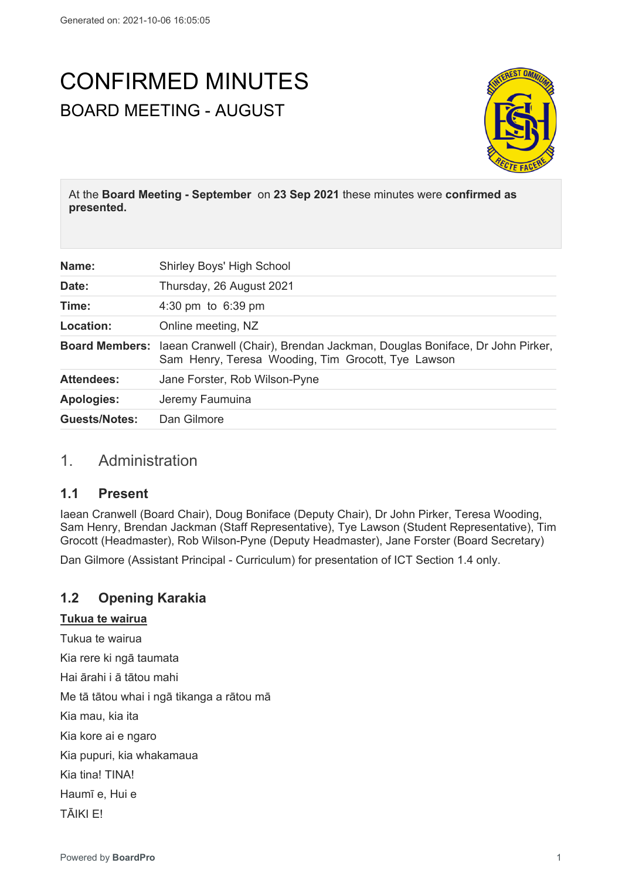# CONFIRMED MINUTES BOARD MEETING - AUGUST



At the **Board Meeting - September** on **23 Sep 2021** these minutes were **confirmed as presented.**

| Name:             | Shirley Boys' High School                                                                                                                              |
|-------------------|--------------------------------------------------------------------------------------------------------------------------------------------------------|
| Date:             | Thursday, 26 August 2021                                                                                                                               |
| Time:             | 4:30 pm to $6:39$ pm                                                                                                                                   |
| Location:         | Online meeting, NZ                                                                                                                                     |
|                   | <b>Board Members:</b> laean Cranwell (Chair), Brendan Jackman, Douglas Boniface, Dr John Pirker,<br>Sam Henry, Teresa Wooding, Tim Grocott, Tye Lawson |
| <b>Attendees:</b> | Jane Forster, Rob Wilson-Pyne                                                                                                                          |
| <b>Apologies:</b> | Jeremy Faumuina                                                                                                                                        |
| Guests/Notes:     | Dan Gilmore                                                                                                                                            |

# 1. Administration

# **1.1 Present**

Iaean Cranwell (Board Chair), Doug Boniface (Deputy Chair), Dr John Pirker, Teresa Wooding, Sam Henry, Brendan Jackman (Staff Representative), Tye Lawson (Student Representative), Tim Grocott (Headmaster), Rob Wilson-Pyne (Deputy Headmaster), Jane Forster (Board Secretary)

Dan Gilmore (Assistant Principal - Curriculum) for presentation of ICT Section 1.4 only.

# **1.2 Opening Karakia**

#### **Tukua te wairua**

Tukua te wairua Kia rere ki ngā taumata Hai ārahi i ā tātou mahi Me tā tātou whai i ngā tikanga a rātou mā Kia mau, kia ita Kia kore ai e ngaro Kia pupuri, kia whakamaua Kia tina! TINA! Haumī e, Hui e TĀIKI E!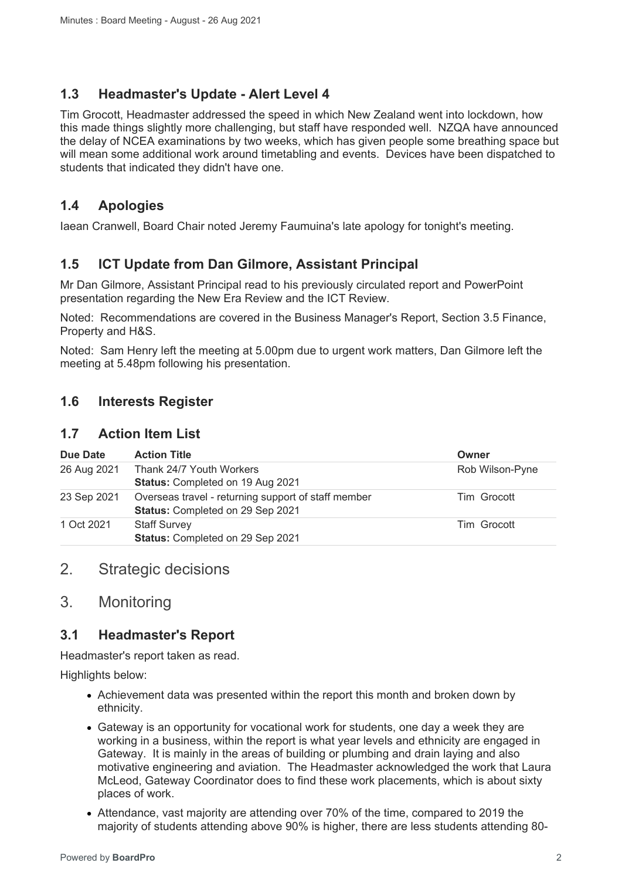#### **1.3 Headmaster's Update - Alert Level 4**

Tim Grocott, Headmaster addressed the speed in which New Zealand went into lockdown, how this made things slightly more challenging, but staff have responded well. NZQA have announced the delay of NCEA examinations by two weeks, which has given people some breathing space but will mean some additional work around timetabling and events. Devices have been dispatched to students that indicated they didn't have one.

# **1.4 Apologies**

Iaean Cranwell, Board Chair noted Jeremy Faumuina's late apology for tonight's meeting.

# **1.5 ICT Update from Dan Gilmore, Assistant Principal**

Mr Dan Gilmore, Assistant Principal read to his previously circulated report and PowerPoint presentation regarding the New Era Review and the ICT Review.

Noted: Recommendations are covered in the Business Manager's Report, Section 3.5 Finance, Property and H&S.

Noted: Sam Henry left the meeting at 5.00pm due to urgent work matters, Dan Gilmore left the meeting at 5.48pm following his presentation.

#### **1.6 Interests Register**

#### **1.7 Action Item List**

| Due Date    | <b>Action Title</b>                                                                     | Owner           |
|-------------|-----------------------------------------------------------------------------------------|-----------------|
| 26 Aug 2021 | Thank 24/7 Youth Workers<br>Status: Completed on 19 Aug 2021                            | Rob Wilson-Pyne |
| 23 Sep 2021 | Overseas travel - returning support of staff member<br>Status: Completed on 29 Sep 2021 | Tim Grocott     |
| 1 Oct 2021  | <b>Staff Survey</b><br>Status: Completed on 29 Sep 2021                                 | Tim Grocott     |

# 2. Strategic decisions

# 3. Monitoring

# **3.1 Headmaster's Report**

Headmaster's report taken as read.

Highlights below:

- Achievement data was presented within the report this month and broken down by ethnicity.
- Gateway is an opportunity for vocational work for students, one day a week they are working in a business, within the report is what year levels and ethnicity are engaged in Gateway. It is mainly in the areas of building or plumbing and drain laying and also motivative engineering and aviation. The Headmaster acknowledged the work that Laura McLeod, Gateway Coordinator does to find these work placements, which is about sixty places of work.
- Attendance, vast majority are attending over 70% of the time, compared to 2019 the majority of students attending above 90% is higher, there are less students attending 80-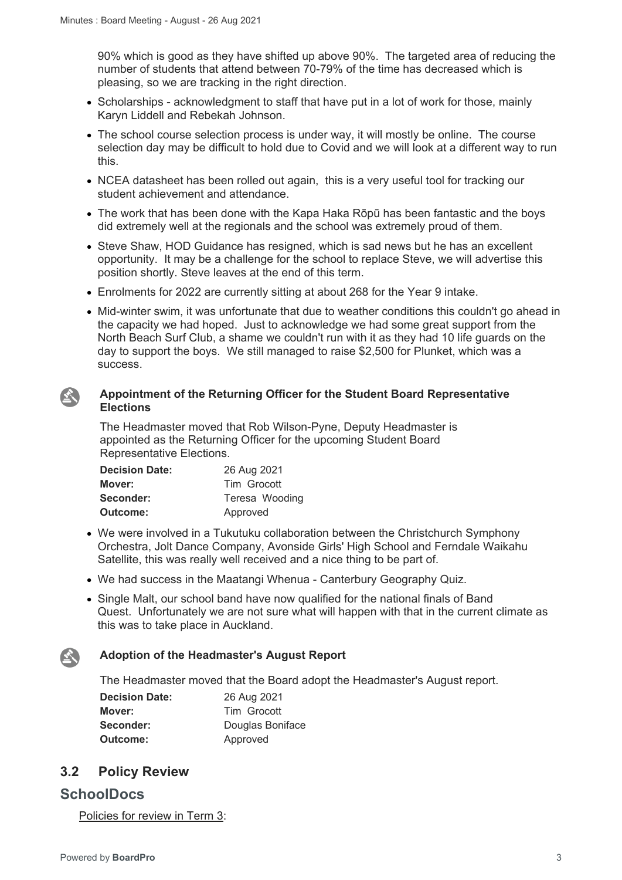90% which is good as they have shifted up above 90%. The targeted area of reducing the number of students that attend between 70-79% of the time has decreased which is pleasing, so we are tracking in the right direction.

- Scholarships acknowledgment to staff that have put in a lot of work for those, mainly Karyn Liddell and Rebekah Johnson.
- The school course selection process is under way, it will mostly be online. The course selection day may be difficult to hold due to Covid and we will look at a different way to run this.
- NCEA datasheet has been rolled out again, this is a very useful tool for tracking our student achievement and attendance.
- The work that has been done with the Kapa Haka Rōpū has been fantastic and the boys did extremely well at the regionals and the school was extremely proud of them.
- Steve Shaw, HOD Guidance has resigned, which is sad news but he has an excellent opportunity. It may be a challenge for the school to replace Steve, we will advertise this position shortly. Steve leaves at the end of this term.
- Enrolments for 2022 are currently sitting at about 268 for the Year 9 intake.
- Mid-winter swim, it was unfortunate that due to weather conditions this couldn't go ahead in the capacity we had hoped. Just to acknowledge we had some great support from the North Beach Surf Club, a shame we couldn't run with it as they had 10 life guards on the day to support the boys. We still managed to raise \$2,500 for Plunket, which was a success.

#### **Appointment of the Returning Officer for the Student Board Representative**   $\mathbf{A}$ **Elections**

The Headmaster moved that Rob Wilson-Pyne, Deputy Headmaster is appointed as the Returning Officer for the upcoming Student Board Representative Elections.

| <b>Decision Date:</b> | 26 Aug 2021    |
|-----------------------|----------------|
| Mover:                | Tim Grocott    |
| Seconder:             | Teresa Wooding |
| Outcome:              | Approved       |

- We were involved in a Tukutuku collaboration between the Christchurch Symphony Orchestra, Jolt Dance Company, Avonside Girls' High School and Ferndale Waikahu Satellite, this was really well received and a nice thing to be part of.
- We had success in the Maatangi Whenua Canterbury Geography Quiz.
- Single Malt, our school band have now qualified for the national finals of Band Quest. Unfortunately we are not sure what will happen with that in the current climate as this was to take place in Auckland.

#### **Adoption of the Headmaster's August Report**

The Headmaster moved that the Board adopt the Headmaster's August report.

| <b>Decision Date:</b> | 26 Aug 2021      |
|-----------------------|------------------|
| Mover:                | Tim Grocott      |
| Seconder:             | Douglas Boniface |
| Outcome:              | Approved         |

# **3.2 Policy Review**

#### **SchoolDocs**

 $\sum_{i=1}^{n}$ 

Policies for review in Term 3: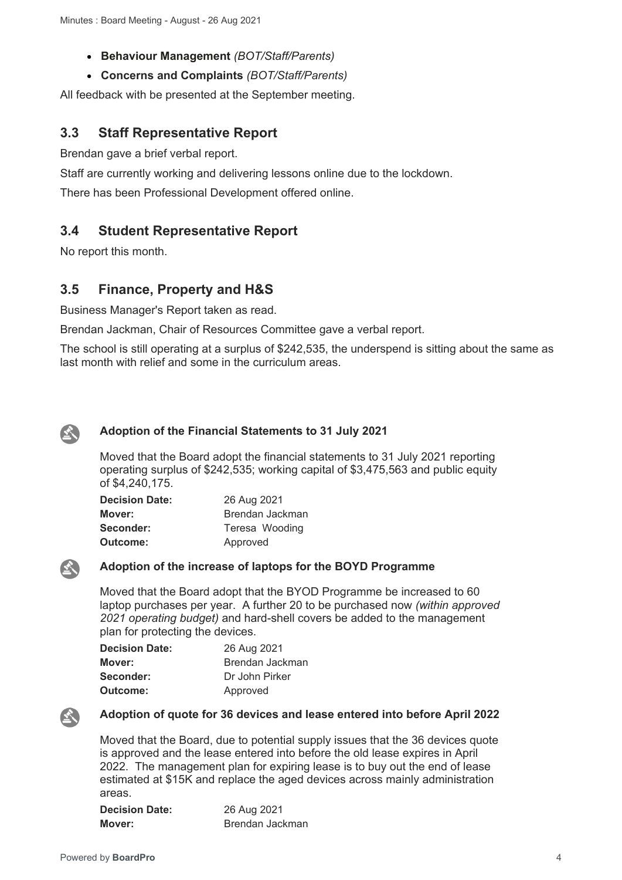- **Behaviour Management** *(BOT/Staff/Parents)*
- **Concerns and Complaints** *(BOT/Staff/Parents)*

All feedback with be presented at the September meeting.

# **3.3 Staff Representative Report**

Brendan gave a brief verbal report.

Staff are currently working and delivering lessons online due to the lockdown.

There has been Professional Development offered online.

# **3.4 Student Representative Report**

No report this month.

# **3.5 Finance, Property and H&S**

Business Manager's Report taken as read.

Brendan Jackman, Chair of Resources Committee gave a verbal report.

The school is still operating at a surplus of \$242,535, the underspend is sitting about the same as last month with relief and some in the curriculum areas.



#### **Adoption of the Financial Statements to 31 July 2021**

Moved that the Board adopt the financial statements to 31 July 2021 reporting operating surplus of \$242,535; working capital of \$3,475,563 and public equity of \$4,240,175.

| <b>Decision Date:</b> | 26 Aug 2021     |
|-----------------------|-----------------|
| Mover:                | Brendan Jackman |
| Seconder:             | Teresa Wooding  |
| Outcome:              | Approved        |



#### **Adoption of the increase of laptops for the BOYD Programme**

Moved that the Board adopt that the BYOD Programme be increased to 60 laptop purchases per year. A further 20 to be purchased now *(within approved 2021 operating budget)* and hard-shell covers be added to the management plan for protecting the devices.

| <b>Decision Date:</b> | 26 Aug 2021     |
|-----------------------|-----------------|
| Mover:                | Brendan Jackman |
| Seconder:             | Dr John Pirker  |
| Outcome:              | Approved        |



#### **Adoption of quote for 36 devices and lease entered into before April 2022**

Moved that the Board, due to potential supply issues that the 36 devices quote is approved and the lease entered into before the old lease expires in April 2022. The management plan for expiring lease is to buy out the end of lease estimated at \$15K and replace the aged devices across mainly administration areas.

| <b>Decision Date:</b> | 26 Aug 2021     |
|-----------------------|-----------------|
| Mover:                | Brendan Jackman |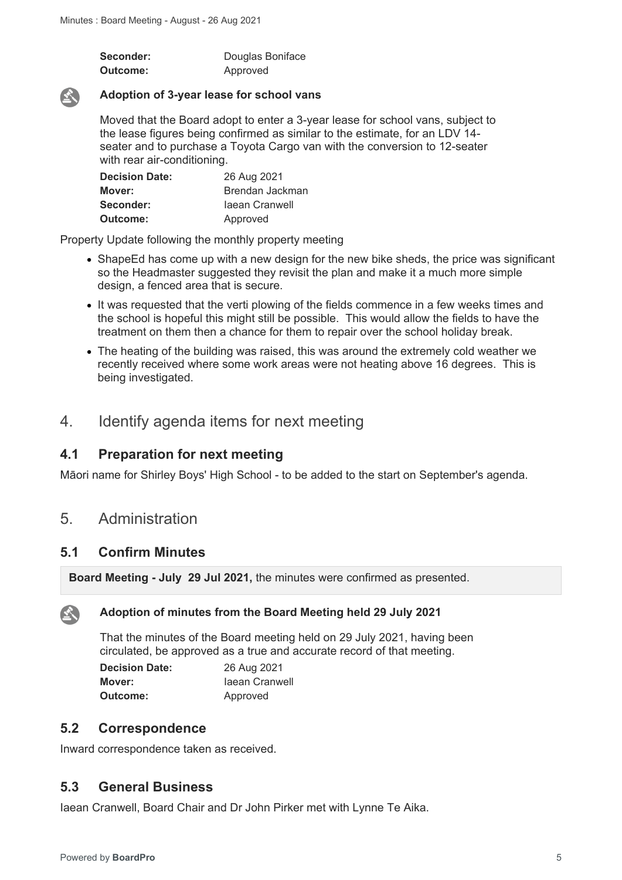| Seconder: | Douglas Boniface |
|-----------|------------------|
| Outcome:  | Approved         |



#### **Adoption of 3-year lease for school vans**

Moved that the Board adopt to enter a 3-year lease for school vans, subject to the lease figures being confirmed as similar to the estimate, for an LDV 14 seater and to purchase a Toyota Cargo van with the conversion to 12-seater with rear air-conditioning.

| <b>Decision Date:</b> | 26 Aug 2021     |
|-----------------------|-----------------|
| Mover:                | Brendan Jackman |
| Seconder:             | laean Cranwell  |
| <b>Outcome:</b>       | Approved        |

Property Update following the monthly property meeting

- ShapeEd has come up with a new design for the new bike sheds, the price was significant so the Headmaster suggested they revisit the plan and make it a much more simple design, a fenced area that is secure.
- It was requested that the verti plowing of the fields commence in a few weeks times and the school is hopeful this might still be possible. This would allow the fields to have the treatment on them then a chance for them to repair over the school holiday break.
- The heating of the building was raised, this was around the extremely cold weather we recently received where some work areas were not heating above 16 degrees. This is being investigated.

# 4. Identify agenda items for next meeting

#### **4.1 Preparation for next meeting**

Māori name for Shirley Boys' High School - to be added to the start on September's agenda.

# 5. Administration

#### **5.1 Confirm Minutes**

**Board Meeting - July 29 Jul 2021,** the minutes were confirmed as presented.



#### **Adoption of minutes from the Board Meeting held 29 July 2021**

That the minutes of the Board meeting held on 29 July 2021, having been circulated, be approved as a true and accurate record of that meeting.

| <b>Decision Date:</b> | 26 Aug 2021    |
|-----------------------|----------------|
| Mover:                | laean Cranwell |
| <b>Outcome:</b>       | Approved       |

#### **5.2 Correspondence**

Inward correspondence taken as received.

#### **5.3 General Business**

Iaean Cranwell, Board Chair and Dr John Pirker met with Lynne Te Aika.